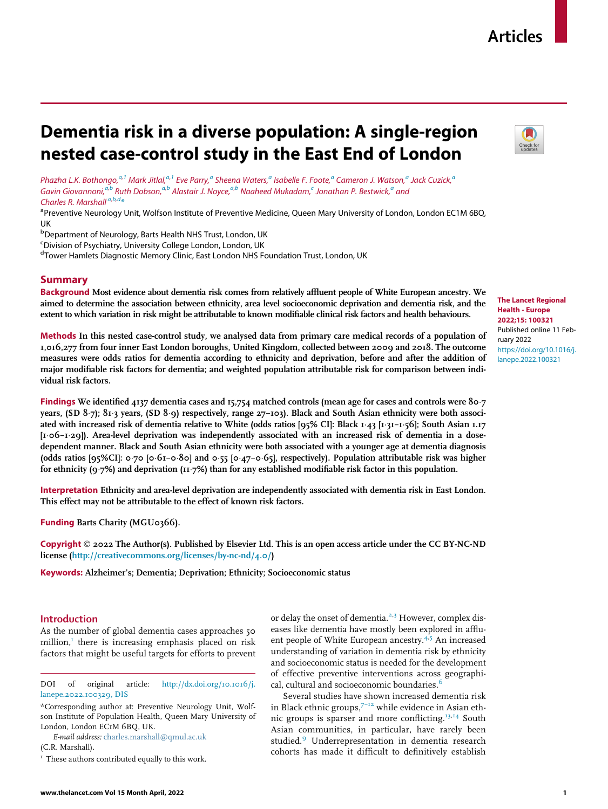#### www.thelancet.com Vol 15 Month April, 2022 1

# Dementia risk in a diverse population: A single-region nested case-control study in the East End of London

Ph[a](#page-0-0)zha L.K. Bothongo, $a_i^1$  $a_i^1$  Mark Jitlal, $a_i^1$  Eve Parry, $a$  Sheena Waters, $a$  Isabelle F. Foote, $a$  Cameron J. Watson, $a$  Jack Cuzick, $a$ G[a](#page-0-0)vin Giovannoni, $a_i^b$  Ruth Dobson, $a_i^b$  Alastair J. Noy[c](#page-0-3)e, $a_i^b$  Naaheed Mukadam, $c$  Jonathan P. Bestwick, $a$  and

<span id="page-0-0"></span>Ch[a](#page-0-0)rles R. Marshall<sup>a[,b](#page-0-2),[d](#page-0-4)</sup>[\\*](#page-0-5)<br><sup>a</sup> Preventive Neurology <sup>a</sup> Preventive Neurology Unit, Wolfson Institute of Preventive Medicine, Queen Mary University of London, London EC1M 6BQ, UK

<span id="page-0-2"></span>b Department of Neurology, Barts Health NHS Trust, London, UK

<span id="page-0-3"></span><sup>c</sup>Division of Psychiatry, University College London, London, UK

<span id="page-0-4"></span><sup>d</sup>Tower Hamlets Diagnostic Memory Clinic, East London NHS Foundation Trust, London, UK

#### Summary

Background Most evidence about dementia risk comes from relatively affluent people of White European ancestry. We aimed to determine the association between ethnicity, area level socioeconomic deprivation and dementia risk, and the extent to which variation in risk might be attributable to known modifiable clinical risk factors and health behaviours.

Methods In this nested case-control study, we analysed data from primary care medical records of a population of 1,016,277 from four inner East London boroughs, United Kingdom, collected between 2009 and 2018. The outcome measures were odds ratios for dementia according to ethnicity and deprivation, before and after the addition of major modifiable risk factors for dementia; and weighted population attributable risk for comparison between individual risk factors.

Findings We identified 4137 dementia cases and 15,754 matched controls (mean age for cases and controls were 80 $\cdot$ 7 years, (SD 8.7); 81.3 years, (SD 8.9) respectively, range 27-103). Black and South Asian ethnicity were both associated with increased risk of dementia relative to White (odds ratios [95% CI]: Black 1·43 [1·31-1·56]; South Asian 1.17 [1.06-1.29]). Area-level deprivation was independently associated with an increased risk of dementia in a dosedependent manner. Black and South Asian ethnicity were both associated with a younger age at dementia diagnosis (odds ratios [95%CI]:  $\circ$ 70 [0 $\cdot$ 61–0 $\cdot$ 80] and 0 $\cdot$ 55 [0 $\cdot$ 47–0 $\cdot$ 65], respectively). Population attributable risk was higher for ethnicity (9.7%) and deprivation ( $11·7%$ ) than for any established modifiable risk factor in this population.

Interpretation Ethnicity and area-level deprivation are independently associated with dementia risk in East London. This effect may not be attributable to the effect of known risk factors.

Funding Barts Charity (MGU0366).

Copyright  $\odot$  2022 The Author(s). Published by Elsevier Ltd. This is an open access article under the CC BY-NC-ND license (<http://creativecommons.org/licenses/by-nc-nd/4.0/>)

Keywords: Alzheimer's; Dementia; Deprivation; Ethnicity; Socioeconomic status

#### Introduction

As the number of global dementia cases approaches 50 million, $<sup>T</sup>$  there is increasing emphasis placed on risk</sup> factors that might be useful targets for efforts to prevent

DOI of original article: [http://dx.doi.org/10.1016/j.](http://dx.doi.org/10.1016/j.lanepe.2022.100329, DIS) [lanepe.2022.100329, DIS](http://dx.doi.org/10.1016/j.lanepe.2022.100329, DIS)

<span id="page-0-5"></span>\*Corresponding author at: Preventive Neurology Unit, Wolfson Institute of Population Health, Queen Mary University of London, London EC1M 6BQ, UK.

E-mail address: [charles.marshall@qmul.ac.uk](mailto:charles.marshall@qmul.ac.uk)

(C.R. Marshall).

<span id="page-0-1"></span> $1$  These authors contributed equally to this work.

or delay the onset of dementia.<sup>[2](#page-13-1),[3](#page-13-2)</sup> However, complex diseases like dementia have mostly been explored in afflu-ent people of White European ancestry.<sup>[4](#page-13-3),[5](#page-13-4)</sup> An increased understanding of variation in dementia risk by ethnicity and socioeconomic status is needed for the development of effective preventive interventions across geographical, cultural and socioeconomic boundaries.

Several studies have shown increased dementia risk in Black ethnic groups, $7\frac{-12}{7}$  $7\frac{-12}{7}$  $7\frac{-12}{7}$  while evidence in Asian eth-nic groups is sparser and more conflicting.<sup>[13,](#page-13-7)[14](#page-13-8)</sup> South Asian communities, in particular, have rarely been studied.[9](#page-13-9) Underrepresentation in dementia research cohorts has made it difficult to definitively establish



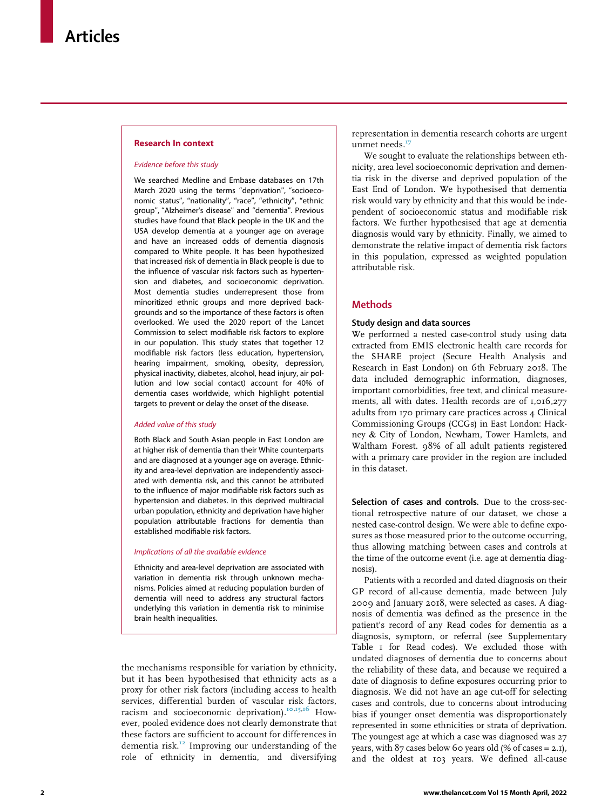## Research In context

#### Evidence before this study

We searched Medline and Embase databases on 17th March 2020 using the terms "deprivation", "socioeconomic status", "nationality", "race", "ethnicity", "ethnic group", "Alzheimer's disease" and "dementia". Previous studies have found that Black people in the UK and the USA develop dementia at a younger age on average and have an increased odds of dementia diagnosis compared to White people. It has been hypothesized that increased risk of dementia in Black people is due to the influence of vascular risk factors such as hypertension and diabetes, and socioeconomic deprivation. Most dementia studies underrepresent those from minoritized ethnic groups and more deprived backgrounds and so the importance of these factors is often overlooked. We used the 2020 report of the Lancet Commission to select modifiable risk factors to explore in our population. This study states that together 12 modifiable risk factors (less education, hypertension, hearing impairment, smoking, obesity, depression, physical inactivity, diabetes, alcohol, head injury, air pollution and low social contact) account for 40% of dementia cases worldwide, which highlight potential targets to prevent or delay the onset of the disease.

#### Added value of this study

Both Black and South Asian people in East London are at higher risk of dementia than their White counterparts and are diagnosed at a younger age on average. Ethnicity and area-level deprivation are independently associated with dementia risk, and this cannot be attributed to the influence of major modifiable risk factors such as hypertension and diabetes. In this deprived multiracial urban population, ethnicity and deprivation have higher population attributable fractions for dementia than established modifiable risk factors.

#### Implications of all the available evidence

Ethnicity and area-level deprivation are associated with variation in dementia risk through unknown mechanisms. Policies aimed at reducing population burden of dementia will need to address any structural factors underlying this variation in dementia risk to minimise brain health inequalities.

the mechanisms responsible for variation by ethnicity, but it has been hypothesised that ethnicity acts as a proxy for other risk factors (including access to health services, differential burden of vascular risk factors, racism and socioeconomic deprivation).<sup>[10](#page-13-10)[,15,](#page-13-11)[16](#page-13-12)</sup> However, pooled evidence does not clearly demonstrate that these factors are sufficient to account for differences in dementia risk.<sup>[12](#page-13-13)</sup> Improving our understanding of the role of ethnicity in dementia, and diversifying

representation in dementia research cohorts are urgent unmet needs.<sup>[17](#page-13-14)</sup>

We sought to evaluate the relationships between ethnicity, area level socioeconomic deprivation and dementia risk in the diverse and deprived population of the East End of London. We hypothesised that dementia risk would vary by ethnicity and that this would be independent of socioeconomic status and modifiable risk factors. We further hypothesised that age at dementia diagnosis would vary by ethnicity. Finally, we aimed to demonstrate the relative impact of dementia risk factors in this population, expressed as weighted population attributable risk.

## **Methods**

#### Study design and data sources

We performed a nested case-control study using data extracted from EMIS electronic health care records for the SHARE project (Secure Health Analysis and Research in East London) on 6th February 2018. The data included demographic information, diagnoses, important comorbidities, free text, and clinical measurements, all with dates. Health records are of 1,016,277 adults from 170 primary care practices across 4 Clinical Commissioning Groups (CCGs) in East London: Hackney & City of London, Newham, Tower Hamlets, and Waltham Forest. 98% of all adult patients registered with a primary care provider in the region are included in this dataset.

Selection of cases and controls. Due to the cross-sectional retrospective nature of our dataset, we chose a nested case-control design. We were able to define exposures as those measured prior to the outcome occurring, thus allowing matching between cases and controls at the time of the outcome event (i.e. age at dementia diagnosis).

Patients with a recorded and dated diagnosis on their GP record of all-cause dementia, made between July 2009 and January 2018, were selected as cases. A diagnosis of dementia was defined as the presence in the patient's record of any Read codes for dementia as a diagnosis, symptom, or referral (see Supplementary Table 1 for Read codes). We excluded those with undated diagnoses of dementia due to concerns about the reliability of these data, and because we required a date of diagnosis to define exposures occurring prior to diagnosis. We did not have an age cut-off for selecting cases and controls, due to concerns about introducing bias if younger onset dementia was disproportionately represented in some ethnicities or strata of deprivation. The youngest age at which a case was diagnosed was 27 years, with  $87$  cases below 60 years old (% of cases = 2.1), and the oldest at 103 years. We defined all-cause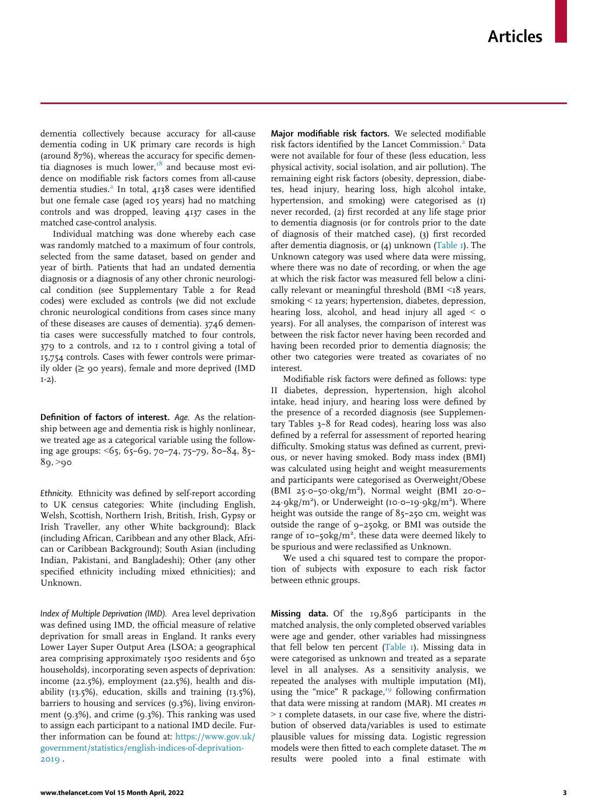dementia collectively because accuracy for all-cause dementia coding in UK primary care records is high (around 87%), whereas the accuracy for specific dementia diagnoses is much lower, $18$  and because most evidence on modifiable risk factors comes from all-cause dementia studies.<sup>[2](#page-13-1)</sup> In total, 4138 cases were identified but one female case (aged 105 years) had no matching controls and was dropped, leaving 4137 cases in the matched case-control analysis.

Individual matching was done whereby each case was randomly matched to a maximum of four controls, selected from the same dataset, based on gender and year of birth. Patients that had an undated dementia diagnosis or a diagnosis of any other chronic neurological condition (see Supplementary Table 2 for Read codes) were excluded as controls (we did not exclude chronic neurological conditions from cases since many of these diseases are causes of dementia). 3746 dementia cases were successfully matched to four controls, 379 to 2 controls, and 12 to 1 control giving a total of 15,754 controls. Cases with fewer controls were primarily older ( $\ge$  90 years), female and more deprived (IMD 1-2).

Definition of factors of interest. Age. As the relationship between age and dementia risk is highly nonlinear, we treated age as a categorical variable using the following age groups: <65, 65–69, 70–74, 75–79, 80–84, 85–  $89, >00$ 

Ethnicity. Ethnicity was defined by self-report according to UK census categories: White (including English, Welsh, Scottish, Northern Irish, British, Irish, Gypsy or Irish Traveller, any other White background); Black (including African, Caribbean and any other Black, African or Caribbean Background); South Asian (including Indian, Pakistani, and Bangladeshi); Other (any other specified ethnicity including mixed ethnicities); and Unknown.

Index of Multiple Deprivation (IMD). Area level deprivation was defined using IMD, the official measure of relative deprivation for small areas in England. It ranks every Lower Layer Super Output Area (LSOA; a geographical area comprising approximately 1500 residents and 650 households), incorporating seven aspects of deprivation: income (22.5%), employment (22.5%), health and disability (13.5%), education, skills and training (13.5%), barriers to housing and services (9.3%), living environment (9.3%), and crime (9.3%). This ranking was used to assign each participant to a national IMD decile. Further information can be found at: [https://www.gov.uk/](https://www.gov.uk/government/statistics/english-indices-of-deprivation-2019) [government/statistics/english-indices-of-deprivation-](https://www.gov.uk/government/statistics/english-indices-of-deprivation-2019)[2019](https://www.gov.uk/government/statistics/english-indices-of-deprivation-2019) .

Major modifiable risk factors. We selected modifiable risk factors identified by the Lancet Commission.<sup>[2](#page-13-1)</sup> Data were not available for four of these (less education, less physical activity, social isolation, and air pollution). The remaining eight risk factors (obesity, depression, diabetes, head injury, hearing loss, high alcohol intake, hypertension, and smoking) were categorised as (1) never recorded, (2) first recorded at any life stage prior to dementia diagnosis (or for controls prior to the date of diagnosis of their matched case), (3) first recorded after dementia diagnosis, or  $(4)$  unknown ([Table 1](#page-4-0)). The Unknown category was used where data were missing, where there was no date of recording, or when the age at which the risk factor was measured fell below a clinically relevant or meaningful threshold  $(BMI < I8$  years, smoking < 12 years; hypertension, diabetes, depression, hearing loss, alcohol, and head injury all aged  $\leq$  0 years). For all analyses, the comparison of interest was between the risk factor never having been recorded and having been recorded prior to dementia diagnosis; the other two categories were treated as covariates of no interest.

Modifiable risk factors were defined as follows: type II diabetes, depression, hypertension, high alcohol intake, head injury, and hearing loss were defined by the presence of a recorded diagnosis (see Supplementary Tables 3–8 for Read codes), hearing loss was also defined by a referral for assessment of reported hearing difficulty. Smoking status was defined as current, previous, or never having smoked. Body mass index (BMI) was calculated using height and weight measurements and participants were categorised as Overweight/Obese (BMI 25.0-50.okg/m<sup>2</sup>), Normal weight (BMI 20.0-24  $9\text{kg/m}^2$ ), or Underweight (10 0-19  $9\text{kg/m}^2$ ). Where height was outside the range of 85–250 cm, weight was outside the range of 9–250kg, or BMI was outside the range of 10-50 $\text{kg/m}^2$ , these data were deemed likely to be spurious and were reclassified as Unknown.

We used a chi squared test to compare the proportion of subjects with exposure to each risk factor between ethnic groups.

Missing data. Of the 19,896 participants in the matched analysis, the only completed observed variables were age and gender, other variables had missingness that fell below ten percent [\(Table 1](#page-4-0)). Missing data in were categorised as unknown and treated as a separate level in all analyses. As a sensitivity analysis, we repeated the analyses with multiple imputation (MI), using the "mice" R package, $19$  following confirmation that data were missing at random (MAR). MI creates  $m$ > 1 complete datasets, in our case five, where the distribution of observed data/variables is used to estimate plausible values for missing data. Logistic regression models were then fitted to each complete dataset. The m results were pooled into a final estimate with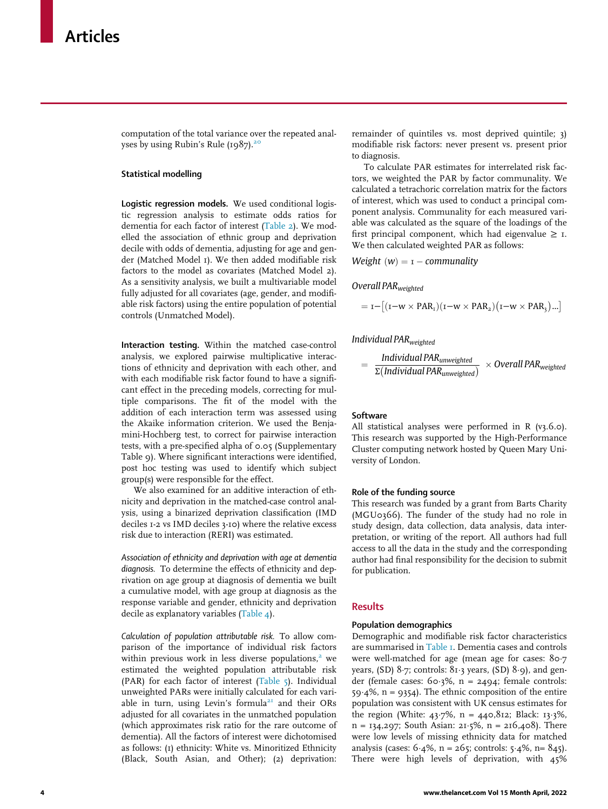computation of the total variance over the repeated anal-yses by using Rubin's Rule (1987).<sup>[20](#page-13-17)</sup>

#### Statistical modelling

Logistic regression models. We used conditional logistic regression analysis to estimate odds ratios for dementia for each factor of interest ([Table 2](#page-6-0)). We modelled the association of ethnic group and deprivation decile with odds of dementia, adjusting for age and gender (Matched Model 1). We then added modifiable risk factors to the model as covariates (Matched Model 2). As a sensitivity analysis, we built a multivariable model fully adjusted for all covariates (age, gender, and modifiable risk factors) using the entire population of potential controls (Unmatched Model).

Interaction testing. Within the matched case-control analysis, we explored pairwise multiplicative interactions of ethnicity and deprivation with each other, and with each modifiable risk factor found to have a significant effect in the preceding models, correcting for multiple comparisons. The fit of the model with the addition of each interaction term was assessed using the Akaike information criterion. We used the Benjamini-Hochberg test, to correct for pairwise interaction tests, with a pre-specified alpha of 0.05 (Supplementary Table 9). Where significant interactions were identified, post hoc testing was used to identify which subject group(s) were responsible for the effect.

We also examined for an additive interaction of ethnicity and deprivation in the matched-case control analysis, using a binarized deprivation classification (IMD deciles 1-2 vs IMD deciles 3-10) where the relative excess risk due to interaction (RERI) was estimated.

Association of ethnicity and deprivation with age at dementia diagnosis. To determine the effects of ethnicity and deprivation on age group at diagnosis of dementia we built a cumulative model, with age group at diagnosis as the response variable and gender, ethnicity and deprivation decile as explanatory variables [\(Table 4](#page-8-0)).

Calculation of population attributable risk. To allow comparison of the importance of individual risk factors within previous work in less diverse populations, $2$  we estimated the weighted population attributable risk (PAR) for each factor of interest ([Table 5](#page-8-1)). Individual unweighted PARs were initially calculated for each vari-able in turn, using Levin's formula<sup>[21](#page-13-18)</sup> and their ORs adjusted for all covariates in the unmatched population (which approximates risk ratio for the rare outcome of dementia). All the factors of interest were dichotomised as follows: (1) ethnicity: White vs. Minoritized Ethnicity (Black, South Asian, and Other); (2) deprivation: remainder of quintiles vs. most deprived quintile; 3) modifiable risk factors: never present vs. present prior to diagnosis.

To calculate PAR estimates for interrelated risk factors, we weighted the PAR by factor communality. We calculated a tetrachoric correlation matrix for the factors of interest, which was used to conduct a principal component analysis. Communality for each measured variable was calculated as the square of the loadings of the first principal component, which had eigenvalue  $\geq$  1. We then calculated weighted PAR as follows:

Weight  $(w) = 1 -$  communality

## Overall PARweighted

$$
= \boldsymbol{\mathrm{I}} \!-\! \big[(\boldsymbol{\mathrm{I}} \!-\! \boldsymbol{\mathrm{w}} \times \boldsymbol{\mathrm{P}} \boldsymbol{A} \boldsymbol{R}_{\boldsymbol{\mathrm{1}}})(\boldsymbol{\mathrm{I}} \!-\! \boldsymbol{\mathrm{w}} \times \boldsymbol{\mathrm{P}} \boldsymbol{A} \boldsymbol{R}_{\boldsymbol{\mathrm{2}}})(\boldsymbol{\mathrm{I}} \!-\! \boldsymbol{\mathrm{w}} \times \boldsymbol{\mathrm{P}} \boldsymbol{A} \boldsymbol{R}_{\boldsymbol{\mathrm{3}}})... \big]
$$

Individual PARweighted

$$
= \frac{Individual \text{ } PAR_{unweighted}}{\Sigma (Individual \text{ } PAR_{unweighted})} \times Overall \text{ } PAR_{weighted}
$$

#### **Software**

All statistical analyses were performed in R (v3.6.0). This research was supported by the High-Performance Cluster computing network hosted by Queen Mary University of London.

#### Role of the funding source

This research was funded by a grant from Barts Charity (MGU0366). The funder of the study had no role in study design, data collection, data analysis, data interpretation, or writing of the report. All authors had full access to all the data in the study and the corresponding author had final responsibility for the decision to submit for publication.

## Results

#### Population demographics

Demographic and modifiable risk factor characteristics are summarised in [Table 1.](#page-4-0) Dementia cases and controls were well-matched for age (mean age for cases: 80.7 years, (SD) 8 $\cdot$ 7; controls: 81 $\cdot$ 3 years, (SD) 8 $\cdot$ 9), and gender (female cases:  $60.3\%$ , n = 2494; female controls: 59 $(4\%, n = 9354)$ . The ethnic composition of the entire population was consistent with UK census estimates for the region (White: 43.7%, n = 440,812; Black: 13.3%,  $n = 134,297$ ; South Asian: 21.5%,  $n = 216,408$ ). There were low levels of missing ethnicity data for matched analysis (cases:  $6.4\%$ , n =  $265$ ; controls:  $5.4\%$ , n =  $845$ ). There were high levels of deprivation, with 45%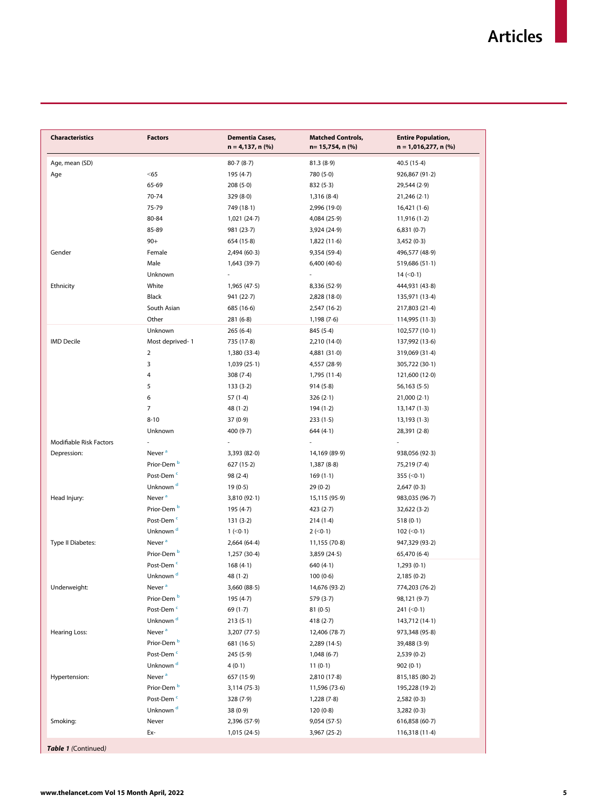<span id="page-4-0"></span>

| <b>Characteristics</b>                 | <b>Factors</b>         | Dementia Cases,<br>n = 4,137, n (%) | <b>Matched Controls,</b><br>n= 15,754, n (%) | <b>Entire Population,</b><br>n = 1,016,277, n (%) |
|----------------------------------------|------------------------|-------------------------------------|----------------------------------------------|---------------------------------------------------|
| Age, mean (SD)                         |                        | 80.7(8.7)                           | 81.3(8.9)                                    | 40.5(15.4)                                        |
| Age                                    | $<$ 65                 | 195(4.7)                            | 780(5.0)                                     | 926,867 (91.2)                                    |
|                                        | 65-69                  | 208(5.0)                            | 832(5.3)                                     | 29,544 (2.9)                                      |
|                                        | 70-74                  | 329(8.0)                            | 1,316 (8-4)                                  | 21,246(2.1)                                       |
|                                        | 75-79                  | 749 (18-1)                          | 2,996 (19.0)                                 | 16,421(1.6)                                       |
|                                        | 80-84                  | 1,021(24.7)                         | 4,084(25.9)                                  | 11,916(1.2)                                       |
|                                        | 85-89                  | 981(23.7)                           | 3,924 (24.9)                                 | 6,831(0.7)                                        |
|                                        | $90+$                  | 654(15.8)                           | 1,822(11.6)                                  | 3,452(0.3)                                        |
| Gender                                 | Female                 | 2,494(60.3)                         | 9,354 (59.4)                                 | 496,577 (48.9)                                    |
|                                        | Male                   | 1,643 (39.7)                        | 6,400(40.6)                                  | 519,686 (51.1)                                    |
|                                        | Unknown                |                                     |                                              | 14 $(0.1)$                                        |
| Ethnicity                              | White                  | 1,965(47.5)                         | 8,336 (52.9)                                 | 444,931 (43.8)                                    |
|                                        | Black                  | 941 (22.7)                          | 2,828 (18-0)                                 | 135,971 (13-4)                                    |
|                                        | South Asian            | 685 (16.6)                          | 2,547(16.2)                                  | 217,803 (21.4)                                    |
|                                        | Other                  | 281(6.8)                            | 1,198(7.6)                                   | 114,995 (11-3)                                    |
|                                        | Unknown                | 265(6.4)                            | 845(5.4)                                     | 102,577 (10-1)                                    |
| <b>IMD Decile</b>                      | Most deprived-1        | 735 (17.8)                          | 2,210 (14-0)                                 | 137,992 (13.6)                                    |
|                                        | $\overline{2}$         | 1,380 (33.4)                        | 4,881(31.0)                                  | 319,069 (31.4)                                    |
| Modifiable Risk Factors<br>Depression: | 3                      | 1,039(25.1)                         | 4,557 (28.9)                                 | 305,722 (30-1)                                    |
|                                        | $\overline{4}$         | 308(7.4)                            | 1,795(11.4)                                  | 121,600 (12.0)                                    |
|                                        | 5                      | 133(3.2)                            | 914(5.8)                                     | 56,163(5.5)                                       |
|                                        | 6                      | 57(1.4)                             | 326(2.1)                                     | 21,000(2.1)                                       |
|                                        | 7                      | 48 $(1-2)$                          | $194(1-2)$                                   | 13,147(1.3)                                       |
|                                        | $8 - 10$               | 37(0.9)                             | 233(1.5)                                     | 13,193(1.3)                                       |
|                                        | Unknown                | 400 (9.7)                           | 644(4.1)                                     | 28,391(2.8)                                       |
|                                        |                        |                                     |                                              |                                                   |
|                                        | Never <sup>a</sup>     | 3,393 (82.0)                        | 14,169 (89.9)                                | 938,056 (92.3)                                    |
|                                        | Prior-Dem <sup>b</sup> | 627(15.2)                           | 1,387(8.8)                                   | 75,219 (7.4)                                      |
|                                        | Post-Dem <sup>c</sup>  | 98(2.4)                             | $169(1-1)$                                   | 355 ( $\leq 0.1$ )                                |
|                                        | Unknown <sup>d</sup>   | 19(0.5)                             | 29(0.2)                                      | 2,647(0.3)                                        |
| Head Injury:                           | Never <sup>a</sup>     | 3,810 (92-1)                        | 15,115 (95.9)                                | 983,035 (96.7)                                    |
|                                        | Prior-Dem <sup>b</sup> | 195 (4.7)                           | 423(2.7)                                     | 32,622(3.2)                                       |
|                                        | Post-Dem <sup>c</sup>  | 131(3.2)                            | 214(1.4)                                     | 518(0.1)                                          |
|                                        | Unknown <sup>d</sup>   | $1$ (<0.1)                          | $2$ (<0.1)                                   | 102 $(0.1)$                                       |
| <b>Type II Diabetes:</b>               | Never <sup>a</sup>     | 2,664 (64.4)                        | 11,155(70.8)                                 | 947,329 (93.2)                                    |
|                                        | Prior-Dem <sup>b</sup> | 1,257 (30-4)                        | 3,859(24.5)                                  | 65,470 (6.4)                                      |
|                                        | Post-Dem <sup>c</sup>  | 168(4.1)                            | 640(4.1)                                     | 1,293(0.1)                                        |
|                                        | Unknown <sup>d</sup>   | 48 $(1-2)$                          | 100(0.6)                                     | 2,185(0.2)                                        |
| Underweight:                           | Never <sup>a</sup>     | 3,660(88.5)                         | 14,676 (93-2)                                | 774,203 (76-2)                                    |
|                                        | Prior-Dem <sup>b</sup> | 195 (4.7)                           | 579 (3.7)                                    | 98,121 (9-7)                                      |
|                                        | Post-Dem <sup>c</sup>  |                                     |                                              |                                                   |
|                                        | Unknown <sup>d</sup>   | 69 $(1-7)$                          | 81(0.5)                                      | 241 $(0.1)$                                       |
|                                        | Never <sup>a</sup>     | 213(5.1)                            | 418 $(2-7)$                                  | 143,712 (14-1)                                    |
| Hearing Loss:                          | Prior-Dem <sup>b</sup> | 3,207(77.5)                         | 12,406 (78.7)                                | 973,348 (95.8)                                    |
|                                        |                        | 681 (16.5)                          | 2,289(14.5)                                  | 39,488 (3.9)                                      |
|                                        | Post-Dem <sup>c</sup>  | 245 (5.9)                           | 1,048(6.7)                                   | 2,539(0.2)                                        |
|                                        | Unknown <sup>d</sup>   | 4(0.1)                              | 11(0.1)                                      | 902(0.1)                                          |
| Hypertension:                          | Never <sup>a</sup>     | 657 (15.9)                          | 2,810(17.8)                                  | 815,185 (80-2)                                    |
|                                        | Prior-Dem <sup>b</sup> | 3,114(75.3)                         | 11,596(73.6)                                 | 195,228 (19-2)                                    |
|                                        | Post-Dem <sup>c</sup>  | 328 (7.9)                           | 1,228(7.8)                                   | 2,582(0.3)                                        |
|                                        | Unknown <sup>d</sup>   | 38(0.9)                             | 120(0.8)                                     | 3,282(0.3)                                        |
| Smoking:                               | Never                  | 2,396 (57.9)                        | 9,054(57.5)                                  | 616,858 (60.7)                                    |
|                                        | Ex-                    | 1,015(24.5)                         | 3,967(25.2)                                  | 116,318 (11-4)                                    |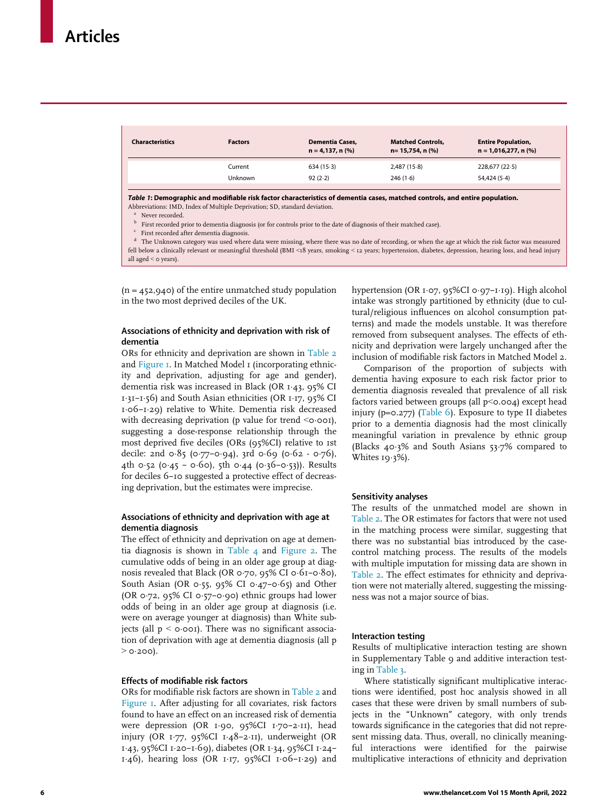| Characteristics | <b>Factors</b> | <b>Dementia Cases,</b><br>$n = 4.137, n$ (%) | <b>Matched Controls,</b><br>n= 15,754, n (%) | <b>Entire Population,</b><br>$n = 1,016,277, n$ (%) |
|-----------------|----------------|----------------------------------------------|----------------------------------------------|-----------------------------------------------------|
|                 | Current        | 634(15.3)                                    | 2,487 (15-8)                                 | 228,677 (22.5)                                      |
|                 | Unknown        | 92(2.2)                                      | 246(1.6)                                     | 54,424 (5.4)                                        |

<span id="page-5-0"></span>Table 1: Demographic and modifiable risk factor characteristics of dementia cases, matched controls, and entire population. Abbreviations: IMD, Index of Multiple Deprivation; SD, standard deviation.

<sup>b</sup> First recorded prior to dementia diagnosis (or for controls prior to the date of diagnosis of their matched case).

<span id="page-5-2"></span><span id="page-5-1"></span><sup>d</sup> The Unknown category was used where data were missing, where there was no date of recording, or when the age at which the risk factor was measured fell below a clinically relevant or meaningful threshold (BMI <18 years, smoking < 12 years; hypertension, diabetes, depression, hearing loss, and head injury all aged  $<$  0 years).

 $(n = 452, 940)$  of the entire unmatched study population in the two most deprived deciles of the UK.

## Associations of ethnicity and deprivation with risk of dementia

ORs for ethnicity and deprivation are shown in [Table 2](#page-6-0) and [Figure 1.](#page-9-0) In Matched Model 1 (incorporating ethnicity and deprivation, adjusting for age and gender), dementia risk was increased in Black (OR 1¢43, 95% CI 1¢31–1¢56) and South Asian ethnicities (OR 1¢17, 95% CI  $1·$ 06– $1·$ 29) relative to White. Dementia risk decreased with decreasing deprivation (p value for trend  $\leq 0.001$ ), suggesting a dose-response relationship through the most deprived five deciles (ORs (95%CI) relative to 1st decile: 2nd  $0.85$  (0.77–0.94), 3rd  $0.69$  (0.62 - 0.76), 4th 0.52 (0.45 – 0.60), 5th 0.44 (0.36–0.53)). Results for deciles 6–10 suggested a protective effect of decreasing deprivation, but the estimates were imprecise.

#### Associations of ethnicity and deprivation with age at dementia diagnosis

The effect of ethnicity and deprivation on age at dementia diagnosis is shown in [Table 4](#page-8-0) and [Figure 2.](#page-10-0) The cumulative odds of being in an older age group at diagnosis revealed that Black (OR 0 $\cdot$ 70, 95% CI 0 $\cdot$ 61-0 $\cdot$ 80), South Asian (OR 0 $\cdot$ 55, 95% CI 0 $\cdot$ 47-0 $\cdot$ 65) and Other (OR  $\circ$ -72, 95% CI  $\circ$ -57- $\circ$ -90) ethnic groups had lower odds of being in an older age group at diagnosis (i.e. were on average younger at diagnosis) than White subjects (all  $p < o·o$ o<sub>1</sub>). There was no significant association of deprivation with age at dementia diagnosis (all p  $> 0.200$ .

## Effects of modifiable risk factors

ORs for modifiable risk factors are shown in [Table 2](#page-6-0) and Figure  $I$ . After adjusting for all covariates, risk factors found to have an effect on an increased risk of dementia were depression (OR  $1·90$ ,  $95\%$ CI  $1·70-2·11$ ), head injury (OR 1.77, 95%CI 1.48-2·11), underweight (OR 1¢43, 95%CI 1¢20–1¢69), diabetes (OR 1¢34, 95%CI 1¢24–  $1·46$ ), hearing loss (OR  $1·17$ , 95%CI  $1·06-1·29$ ) and

hypertension (OR 1·07, 95%CI 0·97-1·19). High alcohol intake was strongly partitioned by ethnicity (due to cultural/religious influences on alcohol consumption patterns) and made the models unstable. It was therefore removed from subsequent analyses. The effects of ethnicity and deprivation were largely unchanged after the inclusion of modifiable risk factors in Matched Model 2.

Comparison of the proportion of subjects with dementia having exposure to each risk factor prior to dementia diagnosis revealed that prevalence of all risk factors varied between groups (all p<0.004) except head injury (p=0.277) [\(Table 6](#page-11-0)). Exposure to type II diabetes prior to a dementia diagnosis had the most clinically meaningful variation in prevalence by ethnic group (Blacks 40¢3% and South Asians 53¢7% compared to Whites  $19.3%$ ).

#### Sensitivity analyses

The results of the unmatched model are shown in [Table 2](#page-6-0). The OR estimates for factors that were not used in the matching process were similar, suggesting that there was no substantial bias introduced by the casecontrol matching process. The results of the models with multiple imputation for missing data are shown in [Table 2](#page-6-0). The effect estimates for ethnicity and deprivation were not materially altered, suggesting the missingness was not a major source of bias.

#### Interaction testing

Results of multiplicative interaction testing are shown in Supplementary Table 9 and additive interaction testing in [Table 3.](#page-7-0)

Where statistically significant multiplicative interactions were identified, post hoc analysis showed in all cases that these were driven by small numbers of subjects in the "Unknown" category, with only trends towards significance in the categories that did not represent missing data. Thus, overall, no clinically meaningful interactions were identified for the pairwise multiplicative interactions of ethnicity and deprivation

<sup>&</sup>lt;sup>a</sup> Never recorded.

First recorded after dementia diagnosis.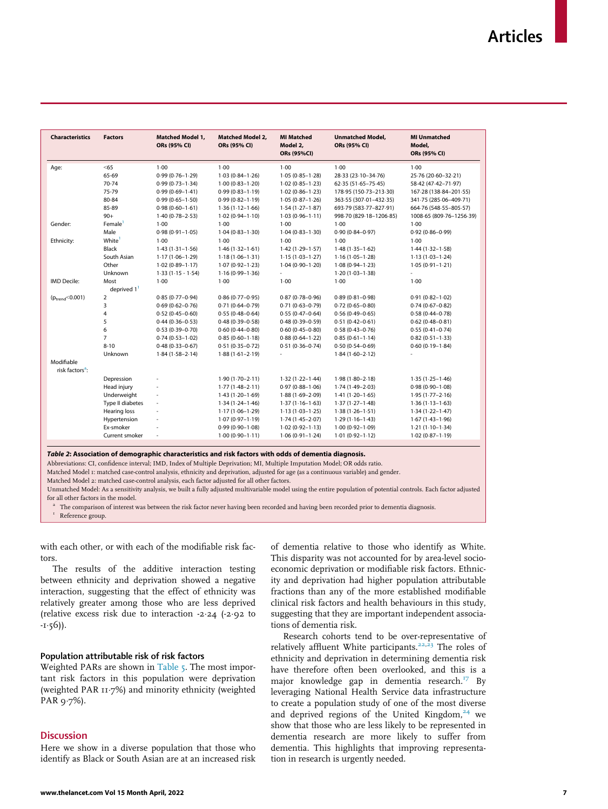<span id="page-6-0"></span>

| <b>Characteristics</b>                    | <b>Factors</b>        | <b>Matched Model 1,</b><br>ORs (95% CI) | <b>Matched Model 2,</b><br>ORs (95% CI) | <b>MI Matched</b><br>Model 2,<br>ORs (95%CI) | <b>Unmatched Model,</b><br>ORs (95% CI) | <b>MI Unmatched</b><br>Model,<br>ORs (95% CI) |
|-------------------------------------------|-----------------------|-----------------------------------------|-----------------------------------------|----------------------------------------------|-----------------------------------------|-----------------------------------------------|
| Age:                                      | < 65                  | $1-00$                                  | 1.00                                    | $1-00$                                       | $1-00$                                  | 1.00                                          |
|                                           | 65-69                 | $0.99(0.76 - 1.29)$                     | $1.03(0.84 - 1.26)$                     | $1.05(0.85 - 1.28)$                          | 28-33 (23-10-34-76)                     | 25.76 (20.60-32.21)                           |
|                                           | 70-74                 | $0.99(0.73 - 1.34)$                     | $1.00(0.83 - 1.20)$                     | $1.02(0.85 - 1.23)$                          | 62-35 (51-65-75-45)                     | 58-42 (47-42-71-97)                           |
|                                           | 75-79                 | $0.99(0.69 - 1.41)$                     | $0.99(0.83 - 1.19)$                     | $1.02(0.86 - 1.23)$                          | 178-95 (150-73-213-30)                  | 167-28 (138-84-201-55)                        |
|                                           | 80-84                 | $0.99(0.65 - 1.50)$                     | $0.99(0.82 - 1.19)$                     | $1.05(0.87 - 1.26)$                          | 363.55 (307.01-432.35)                  | 341.75 (285.06-409.71)                        |
|                                           | 85-89                 | $0.98(0.60 - 1.61)$                     | $1.36(1.12 - 1.66)$                     | $1.54(1.27 - 1.87)$                          | 693-79 (583-77-827-91)                  | 664.76 (548.55-805.57)                        |
|                                           | $90+$                 | $1.40(0.78 - 2.53)$                     | $1.02(0.94 - 1.10)$                     | $1.03(0.96 - 1.11)$                          | 998-70 (829-18-1206-85)                 | 1008-65 (809-76-1256-39)                      |
| Gender:                                   | Female <sup>1</sup>   | $1 - 00$                                | 1.00                                    | $1-00$                                       | $1 - 00$                                | 1.00                                          |
|                                           | Male                  | $0.98(0.91 - 1.05)$                     | $1.04(0.83 - 1.30)$                     | $1.04(0.83 - 1.30)$                          | $0.90(0.84 - 0.97)$                     | $0.92(0.86 - 0.99)$                           |
| Ethnicity:                                | White <sup>1</sup>    | 1.00                                    | 1.00                                    | $1-00$                                       | $1 - 00$                                | 1.00                                          |
|                                           | <b>Black</b>          | $1.43(1.31 - 1.56)$                     | $1.46(1.32 - 1.61)$                     | $1.42(1.29 - 1.57)$                          | $1.48(1.35 - 1.62)$                     | $1.44(1.32 - 1.58)$                           |
|                                           | South Asian           | $1.17(1.06 - 1.29)$                     | $1.18(1.06 - 1.31)$                     | $1.15(1.03 - 1.27)$                          | $1.16(1.05 - 1.28)$                     | $1.13(1.03 - 1.24)$                           |
|                                           | Other                 | $1.02(0.89 - 1.17)$                     | $1.07(0.92 - 1.23)$                     | $1.04(0.90 - 1.20)$                          | $1.08(0.94 - 1.23)$                     | $1.05(0.91 - 1.21)$                           |
|                                           | Unknown               | $1.33(1.15 - 1.54)$                     | $1.16(0.99 - 1.36)$                     | $\sim$                                       | $1.20(1.03 - 1.38)$                     | ÷.                                            |
| <b>IMD Decile:</b>                        | Most<br>deprived $11$ | $1 - 00$                                | 1.00                                    | $1 - 00$                                     | $1 - 00$                                | 1.00                                          |
| $(p_{trend} < 0.001)$                     | $\overline{2}$        | $0.85(0.77 - 0.94)$                     | $0.86(0.77 - 0.95)$                     | $0.87(0.78 - 0.96)$                          | $0.89(0.81 - 0.98)$                     | $0.91(0.82 - 1.02)$                           |
|                                           | 3                     | $0.69(0.62 - 0.76)$                     | $0.71(0.64 - 0.79)$                     | $0.71(0.63 - 0.79)$                          | $0.72(0.65 - 0.80)$                     | $0.74(0.67 - 0.82)$                           |
|                                           | 4                     | $0.52(0.45 - 0.60)$                     | $0.55(0.48 - 0.64)$                     | $0.55(0.47 - 0.64)$                          | $0.56(0.49 - 0.65)$                     | $0.58(0.44 - 0.78)$                           |
|                                           | 5                     | $0.44(0.36 - 0.53)$                     | $0.48(0.39 - 0.58)$                     | $0.48(0.39 - 0.59)$                          | $0.51(0.42 - 0.61)$                     | $0.62(0.48 - 0.81)$                           |
|                                           | 6                     | $0.53(0.39 - 0.70)$                     | $0.60(0.44 - 0.80)$                     | $0.60(0.45 - 0.80)$                          | $0.58(0.43 - 0.76)$                     | $0.55(0.41 - 0.74)$                           |
|                                           | $\overline{7}$        | $0.74(0.53 - 1.02)$                     | $0.85(0.60 - 1.18)$                     | $0.88(0.64 - 1.22)$                          | $0.85(0.61 - 1.14)$                     | $0.82(0.51 - 1.33)$                           |
|                                           | $8 - 10$              | $0.48(0.33 - 0.67)$                     | $0.51(0.35 - 0.72)$                     | $0.51(0.36 - 0.74)$                          | $0.50(0.54 - 0.69)$                     | $0.60(0.19 - 1.84)$                           |
|                                           | Unknown               | $1.84(1.58 - 2.14)$                     | $1.88(1.61 - 2.19)$                     | $\sim$                                       | $1.84(1.60 - 2.12)$                     |                                               |
| Modifiable<br>risk factors <sup>a</sup> : |                       |                                         |                                         |                                              |                                         |                                               |
|                                           | Depression            |                                         | $1.90(1.70 - 2.11)$                     | $1.32(1.22 - 1.44)$                          | $1.98(1.80 - 2.18)$                     | $1.35(1.25 - 1.46)$                           |
|                                           | Head injury           |                                         | $1.77(1.48 - 2.11)$                     | $0.97(0.88 - 1.06)$                          | $1.74(1.49 - 2.03)$                     | $0.98(0.90 - 1.08)$                           |
|                                           | Underweight           | ä,                                      | $1.43(1.20 - 1.69)$                     | $1.88(1.69 - 2.09)$                          | $1.41(1.20-1.65)$                       | $1.95(1.77 - 2.16)$                           |
|                                           | Type II diabetes      | ÷                                       | $1.34(1.24 - 1.46)$                     | $1.37(1.16 - 1.63)$                          | $1.37(1.27 - 1.48)$                     | $1.36(1.13 - 1.63)$                           |
|                                           | Hearing loss          | ÷.                                      | $1.17(1.06 - 1.29)$                     | $1.13(1.03 - 1.25)$                          | $1.38(1.26 - 1.51)$                     | $1.34(1.22 - 1.47)$                           |
|                                           | Hypertension          |                                         | $1.07(0.97 - 1.19)$                     | $1.74(1.45 - 2.07)$                          | $1.29(1.16 - 1.43)$                     | $1.67(1.43 - 1.96)$                           |
|                                           | Ex-smoker             |                                         | $0.99(0.90 - 1.08)$                     | $1.02(0.92 - 1.13)$                          | $1.00(0.92 - 1.09)$                     | $1.21(1.10-1.34)$                             |
|                                           | Current smoker        | $\blacksquare$                          | $1.00(0.90 - 1.11)$                     | $1.06(0.91 - 1.24)$                          | $1.01(0.92 - 1.12)$                     | $1.02(0.87 - 1.19)$                           |

Table 2: Association of demographic characteristics and risk factors with odds of dementia diagnosis.

Abbreviations: CI, confidence interval; IMD, Index of Multiple Deprivation; MI, Multiple Imputation Model; OR odds ratio.

Matched Model 1: matched case-control analysis, ethnicity and deprivation, adjusted for age (as a continuous variable) and gender.

Matched Model 2: matched case-control analysis, each factor adjusted for all other factors.

<span id="page-6-1"></span>Unmatched Model: As a sensitivity analysis, we built a fully adjusted multivariable model using the entire population of potential controls. Each factor adjusted for all other factors in the model.

The comparison of interest was between the risk factor never having been recorded and having been recorded prior to dementia diagnosis.

Reference group.

with each other, or with each of the modifiable risk factors.

The results of the additive interaction testing between ethnicity and deprivation showed a negative interaction, suggesting that the effect of ethnicity was relatively greater among those who are less deprived (relative excess risk due to interaction -2 $\cdot$ 24 (-2 $\cdot$ 92 to  $-t.56$ )).

## Population attributable risk of risk factors

Weighted PARs are shown in [Table 5](#page-8-1). The most important risk factors in this population were deprivation (weighted PAR 11¢7%) and minority ethnicity (weighted PAR  $9.7%$ ).

### **Discussion**

Here we show in a diverse population that those who identify as Black or South Asian are at an increased risk of dementia relative to those who identify as White. This disparity was not accounted for by area-level socioeconomic deprivation or modifiable risk factors. Ethnicity and deprivation had higher population attributable fractions than any of the more established modifiable clinical risk factors and health behaviours in this study, suggesting that they are important independent associations of dementia risk.

Research cohorts tend to be over-representative of relatively affluent White participants.<sup>[22,](#page-13-19)[23](#page-13-20)</sup> The roles of ethnicity and deprivation in determining dementia risk have therefore often been overlooked, and this is a major knowledge gap in dementia research.<sup>[17](#page-13-14)</sup> By leveraging National Health Service data infrastructure to create a population study of one of the most diverse and deprived regions of the United Kingdom, $24$  we show that those who are less likely to be represented in dementia research are more likely to suffer from dementia. This highlights that improving representation in research is urgently needed.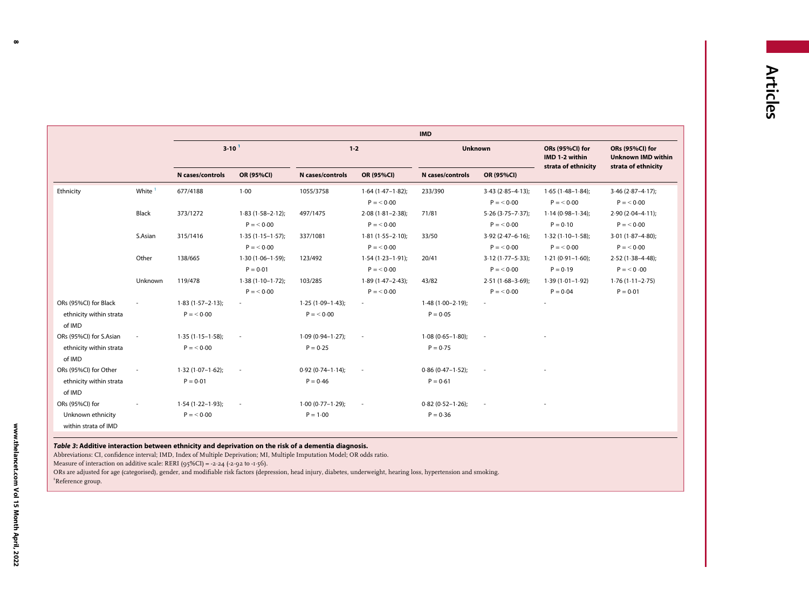<span id="page-7-0"></span>

|                                           |                    |                       | <b>IMD</b>            |                       |                          |                       |                           |                                   |                                                                     |
|-------------------------------------------|--------------------|-----------------------|-----------------------|-----------------------|--------------------------|-----------------------|---------------------------|-----------------------------------|---------------------------------------------------------------------|
|                                           |                    | $3-10^{1}$            |                       | $1 - 2$               |                          | <b>Unknown</b>        |                           | ORs (95%Cl) for<br>IMD 1-2 within | ORs (95%Cl) for<br><b>Unknown IMD within</b><br>strata of ethnicity |
|                                           |                    | N cases/controls      | OR (95%CI)            | N cases/controls      | OR (95%CI)               | N cases/controls      | OR (95%CI)                | strata of ethnicity               |                                                                     |
| Ethnicity                                 | White <sup>1</sup> | 677/4188              | 1.00                  | 1055/3758             | $1.64$ (1.47-1.82);      | 233/390               | $3.43$ ( $2.85 - 4.13$ ); | $1.65(1.48-1.84);$                | $3.46$ ( $2.87 - 4.17$ );                                           |
|                                           |                    |                       |                       |                       | $P = 0.00$               |                       | $P = 0.00$                | $P = 0.00$                        | $P = 0.00$                                                          |
|                                           | Black              | 373/1272              | $1.83(1.58 - 2.12)$ ; | 497/1475              | $2.08(1.81 - 2.38);$     | 71/81                 | $5.26(3.75 - 7.37);$      | $1.14(0.98 - 1.34);$              | $2.90(2.04 - 4.11);$                                                |
|                                           |                    |                       | $P = 0.00$            |                       | $P = 0.00$               |                       | $P = 0.00$                | $P = 0.10$                        | $P = 0.00$                                                          |
|                                           | S.Asian            | 315/1416              | $1.35(1.15 - 1.57);$  | 337/1081              | $1.81(1.55 - 2.10);$     | 33/50                 | $3.92$ (2.47-6.16);       | $1.32(1.10-1.58);$                | $3.01(1.87 - 4.80);$                                                |
|                                           |                    |                       | $P = 0.00$            |                       | $P = 0.00$               |                       | $P = 0.00$                | $P = 0.00$                        | $P = 0.00$                                                          |
|                                           | Other              | 138/665               | $1.30(1.06 - 1.59);$  | 123/492               | $1.54(1.23 - 1.91);$     | 20/41                 | $3.12(1.77 - 5.33);$      | $1.21(0.91 - 1.60);$              | $2.52(1.38 - 4.48);$                                                |
|                                           |                    |                       | $P = 0.01$            |                       | $P = 0.00$               |                       | $P = 0.00$                | $P = 0.19$                        | $P = 0.00$                                                          |
|                                           | Unknown            | 119/478               | $1.38(1.10 - 1.72);$  | 103/285               | $1.89(1.47 - 2.43);$     | 43/82                 | $2.51(1.68 - 3.69);$      | $1.39(1.01 - 1.92)$               | $1.76(1.11 - 2.75)$                                                 |
|                                           |                    |                       | $P = 0.00$            |                       | $P = 0.00$               |                       | $P = 0.00$                | $P = 0.04$                        | $P = 0.01$                                                          |
| ORs (95%Cl) for Black                     |                    | $1.83(1.57 - 2.13);$  |                       | $1.25(1.09 - 1.43);$  |                          | $1.48(1.00 - 2.19)$ ; |                           |                                   |                                                                     |
| ethnicity within strata<br>of IMD         |                    | $P = 0.00$            |                       | $P = 0.00$            |                          | $P = 0.05$            |                           |                                   |                                                                     |
| ORs (95%Cl) for S.Asian                   |                    | $1.35(1.15 - 1.58);$  | $\sim$                | $1.09(0.94 - 1.27);$  | $\sim$                   | $1.08(0.65 - 1.80);$  |                           |                                   |                                                                     |
| ethnicity within strata<br>of IMD         |                    | $P = 0.00$            |                       | $P = 0.25$            |                          | $P = 0.75$            |                           |                                   |                                                                     |
| ORs (95%CI) for Other                     |                    | $1.32(1.07 - 1.62)$ ; | $\sim$                | $0.92(0.74 - 1.14);$  | $\overline{\phantom{a}}$ | $0.86(0.47 - 1.52);$  | $\sim$                    |                                   |                                                                     |
| ethnicity within strata<br>of IMD         |                    | $P = 0.01$            |                       | $P = 0.46$            |                          | $P = 0.61$            |                           |                                   |                                                                     |
| ORs (95%Cl) for                           |                    | $1.54(1.22 - 1.93);$  | $\sim$                | $1.00(0.77 - 1.29)$ ; | $\overline{\phantom{a}}$ | $0.82(0.52 - 1.26);$  | $\sim$                    |                                   |                                                                     |
| Unknown ethnicity<br>within strata of IMD |                    | $P = 0.00$            |                       | $P = 1.00$            |                          | $P = 0.36$            |                           |                                   |                                                                     |

Table 3: Additive interaction between ethnicity and deprivation on the risk of <sup>a</sup> dementia diagnosis.

Abbreviations: CI, confidence interval; IMD, Index of Multiple Deprivation; MI, Multiple Imputation Model; OR odds ratio.

Measure of interaction on additive scale: RERI ( $95\%$ CI) = -2 $\cdot$ 24 (-2 $\cdot$ 92 to -1 $\cdot$ 56).

ORs are adjusted for age (categorised), gender, and modifiable risk factors (depression, head injury, diabetes, underweight, hearing loss, hypertension and smoking.

<sup>1</sup>Reference group.

 $\infty$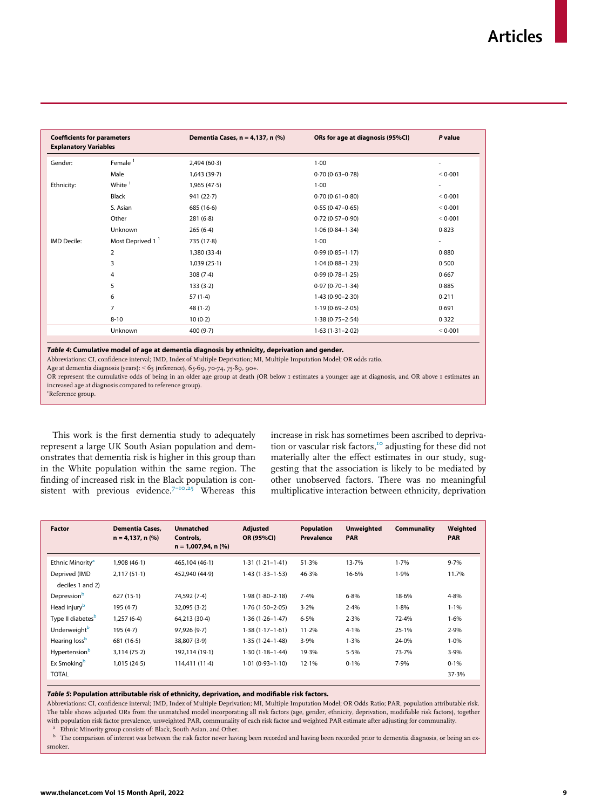<span id="page-8-0"></span>

| <b>Coefficients for parameters</b><br><b>Explanatory Variables</b> |                              | Dementia Cases, n = 4,137, n (%) | ORs for age at diagnosis (95%Cl) | P value                  |
|--------------------------------------------------------------------|------------------------------|----------------------------------|----------------------------------|--------------------------|
| Gender:                                                            | Female <sup>1</sup>          | 2,494(60.3)                      | $1-00$                           |                          |
|                                                                    | Male                         | 1,643(39.7)                      | $0.70(0.63 - 0.78)$              | < 0.001                  |
| Ethnicity:                                                         | White $1$                    | 1,965(47.5)                      | 1.00                             |                          |
|                                                                    | Black                        | 941(22.7)                        | $0.70(0.61 - 0.80)$              | < 0.001                  |
|                                                                    | S. Asian                     | 685(16.6)                        | $0.55(0.47-0.65)$                | < 0.001                  |
|                                                                    | Other                        | 281(6.8)                         | $0.72(0.57-0.90)$                | < 0.001                  |
|                                                                    | Unknown                      | 265(6.4)                         | $1.06(0.84 - 1.34)$              | 0.823                    |
| <b>IMD Decile:</b>                                                 | Most Deprived 1 <sup>1</sup> | 735 (17-8)                       | 1.00                             | $\overline{\phantom{a}}$ |
|                                                                    | $\overline{2}$               | 1,380 (33.4)                     | $0.99(0.85 - 1.17)$              | 0.880                    |
|                                                                    | 3                            | 1,039(25.1)                      | $1.04(0.88 - 1.23)$              | 0.500                    |
|                                                                    | 4                            | 308(7.4)                         | $0.99(0.78 - 1.25)$              | 0.667                    |
|                                                                    | 5                            | 133(3.2)                         | $0.97(0.70 - 1.34)$              | 0.885                    |
|                                                                    | 6                            | 57(1.4)                          | $1.43(0.90 - 2.30)$              | 0.211                    |
|                                                                    | $\overline{7}$               | 48 $(1.2)$                       | $1.19(0.69 - 2.05)$              | 0.691                    |
|                                                                    | $8 - 10$                     | 10(0.2)                          | $1.38(0.75 - 2.54)$              | 0.322                    |
|                                                                    | Unknown                      | 400(9.7)                         | $1.63(1.31 - 2.02)$              | < 0.001                  |

Table 4: Cumulative model of age at dementia diagnosis by ethnicity, deprivation and gender.

Abbreviations: CI, confidence interval; IMD, Index of Multiple Deprivation; MI, Multiple Imputation Model; OR odds ratio.

Age at dementia diagnosis (years): < 65 (reference), 65-69, 70-74, 75-89, 90+.

OR represent the cumulative odds of being in an older age group at death (OR below 1 estimates a younger age at diagnosis, and OR above 1 estimates an increased age at diagnosis compared to reference group).

1 Reference group.

This work is the first dementia study to adequately represent a large UK South Asian population and demonstrates that dementia risk is higher in this group than in the White population within the same region. The finding of increased risk in the Black population is consistent with previous evidence.<sup> $7-10,25$  $7-10,25$  $7-10,25$ </sup> Whereas this increase in risk has sometimes been ascribed to depriva-tion or vascular risk factors,<sup>[10](#page-13-10)</sup> adjusting for these did not materially alter the effect estimates in our study, suggesting that the association is likely to be mediated by other unobserved factors. There was no meaningful multiplicative interaction between ethnicity, deprivation

<span id="page-8-1"></span>

| <b>Factor</b>                 | <b>Dementia Cases,</b><br>$n = 4,137, n$ (%) | <b>Unmatched</b><br>Controls.<br>$n = 1,007,94, n$ (%) | <b>Adjusted</b><br><b>OR (95%CI)</b> | <b>Population</b><br><b>Prevalence</b> | <b>Unweighted</b><br><b>PAR</b> | Communality | Weighted<br><b>PAR</b> |
|-------------------------------|----------------------------------------------|--------------------------------------------------------|--------------------------------------|----------------------------------------|---------------------------------|-------------|------------------------|
| Ethnic Minority <sup>a</sup>  | 1,908(46.1)                                  | 465.104 (46-1)                                         | $1.31(1.21 - 1.41)$                  | 51.3%                                  | 13.7%                           | 1.7%        | 9.7%                   |
| Deprived (IMD                 | $2,117(51-1)$                                | 452.940 (44.9)                                         | $1.43(1.33 - 1.53)$                  | 46.3%                                  | 16.6%                           | 1.9%        | 11.7%                  |
| deciles 1 and 2)              |                                              |                                                        |                                      |                                        |                                 |             |                        |
| Depressionb                   | 627(15.1)                                    | 74,592 (7.4)                                           | $1.98(1.80 - 2.18)$                  | 7.4%                                   | 6.8%                            | 18.6%       | 4.8%                   |
| Head injury <sup>b</sup>      | 195(4.7)                                     | 32,095(3.2)                                            | $1.76(1.50-2.05)$                    | 3.2%                                   | 2.4%                            | 1.8%        | 1.1%                   |
| Type II diabetes <sup>b</sup> | 1,257(6.4)                                   | 64,213 (30.4)                                          | $1.36(1.26 - 1.47)$                  | 6.5%                                   | 2.3%                            | 72.4%       | 1.6%                   |
| Underweight <sup>b</sup>      | 195(4.7)                                     | 97,926 (9.7)                                           | $1.38(1.17 - 1.61)$                  | $11-2%$                                | 4.1%                            | 25.1%       | 2.9%                   |
| Hearing loss <sup>b</sup>     | 681(16.5)                                    | 38,807 (3.9)                                           | $1.35(1.24 - 1.48)$                  | 3.9%                                   | 1.3%                            | 24.0%       | 1.0%                   |
| Hypertension <sup>b</sup>     | 3,114(75.2)                                  | 192,114 (19-1)                                         | $1.30(1.18 - 1.44)$                  | 19.3%                                  | 5.5%                            | 73.7%       | 3.9%                   |
| Ex Smoking <sup>b</sup>       | 1,015(24.5)                                  | 114,411 (11-4)                                         | $1.01(0.93 - 1.10)$                  | 12.1%                                  | 0.1%                            | 7.9%        | 0.1%                   |
| <b>TOTAL</b>                  |                                              |                                                        |                                      |                                        |                                 |             | 37.3%                  |

## Table 5: Population attributable risk of ethnicity, deprivation, and modifiable risk factors.

Abbreviations: CI, confidence interval; IMD, Index of Multiple Deprivation; MI, Multiple Imputation Model; OR Odds Ratio; PAR, population attributable risk. The table shows adjusted ORs from the unmatched model incorporating all risk factors (age, gender, ethnicity, deprivation, modifiable risk factors), together with population risk factor prevalence, unweighted PAR, communality of each risk factor and weighted PAR estimate after adjusting for communality.

<sup>a</sup> Ethnic Minority group consists of: Black, South Asian, and Other.

<span id="page-8-2"></span>The comparison of interest was between the risk factor never having been recorded and having been recorded prior to dementia diagnosis, or being an exsmoker.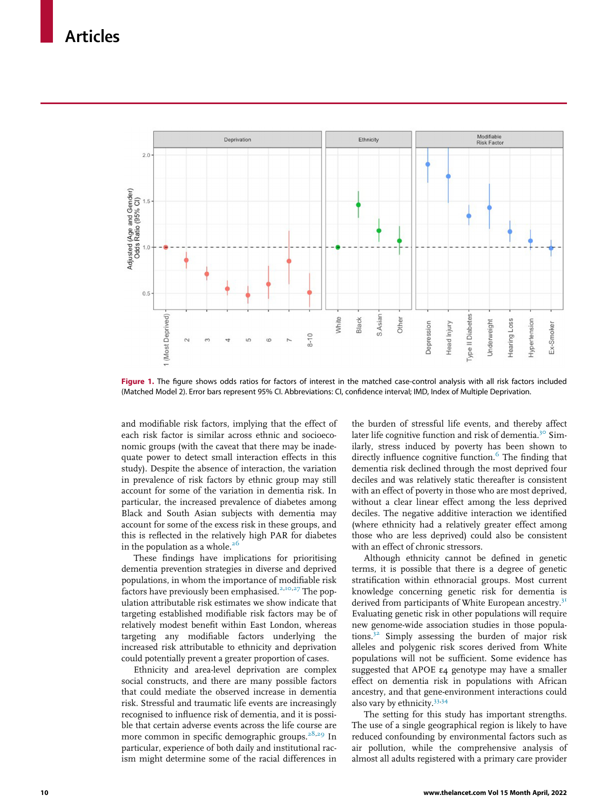<span id="page-9-0"></span>

Figure 1. The figure shows odds ratios for factors of interest in the matched case-control analysis with all risk factors included (Matched Model 2). Error bars represent 95% CI. Abbreviations: CI, confidence interval; IMD, Index of Multiple Deprivation.

and modifiable risk factors, implying that the effect of each risk factor is similar across ethnic and socioeconomic groups (with the caveat that there may be inadequate power to detect small interaction effects in this study). Despite the absence of interaction, the variation in prevalence of risk factors by ethnic group may still account for some of the variation in dementia risk. In particular, the increased prevalence of diabetes among Black and South Asian subjects with dementia may account for some of the excess risk in these groups, and this is reflected in the relatively high PAR for diabetes in the population as a whole.<sup>[26](#page-13-24)</sup>

These findings have implications for prioritising dementia prevention strategies in diverse and deprived populations, in whom the importance of modifiable risk factors have previously been emphasised.<sup>[2](#page-13-1)[,10](#page-13-10)[,27](#page-13-25)</sup> The population attributable risk estimates we show indicate that targeting established modifiable risk factors may be of relatively modest benefit within East London, whereas targeting any modifiable factors underlying the increased risk attributable to ethnicity and deprivation could potentially prevent a greater proportion of cases.

Ethnicity and area-level deprivation are complex social constructs, and there are many possible factors that could mediate the observed increase in dementia risk. Stressful and traumatic life events are increasingly recognised to influence risk of dementia, and it is possible that certain adverse events across the life course are more common in specific demographic groups.<sup>[28,](#page-13-26)[29](#page-13-27)</sup> In particular, experience of both daily and institutional racism might determine some of the racial differences in

the burden of stressful life events, and thereby affect later life cognitive function and risk of dementia.<sup>[30](#page-13-28)</sup> Similarly, stress induced by poverty has been shown to directly influence cognitive function.<sup>[6](#page-13-5)</sup> The finding that dementia risk declined through the most deprived four deciles and was relatively static thereafter is consistent with an effect of poverty in those who are most deprived, without a clear linear effect among the less deprived deciles. The negative additive interaction we identified (where ethnicity had a relatively greater effect among those who are less deprived) could also be consistent with an effect of chronic stressors.

Although ethnicity cannot be defined in genetic terms, it is possible that there is a degree of genetic stratification within ethnoracial groups. Most current knowledge concerning genetic risk for dementia is derived from participants of White European ancestry.<sup>[31](#page-13-29)</sup> Evaluating genetic risk in other populations will require new genome-wide association studies in those popula-tions.<sup>[32](#page-13-30)</sup> Simply assessing the burden of major risk alleles and polygenic risk scores derived from White populations will not be sufficient. Some evidence has suggested that APOE ε4 genotype may have a smaller effect on dementia risk in populations with African ancestry, and that gene-environment interactions could also vary by ethnicity.<sup>[33,](#page-13-31)[34](#page-13-32)</sup>

The setting for this study has important strengths. The use of a single geographical region is likely to have reduced confounding by environmental factors such as air pollution, while the comprehensive analysis of almost all adults registered with a primary care provider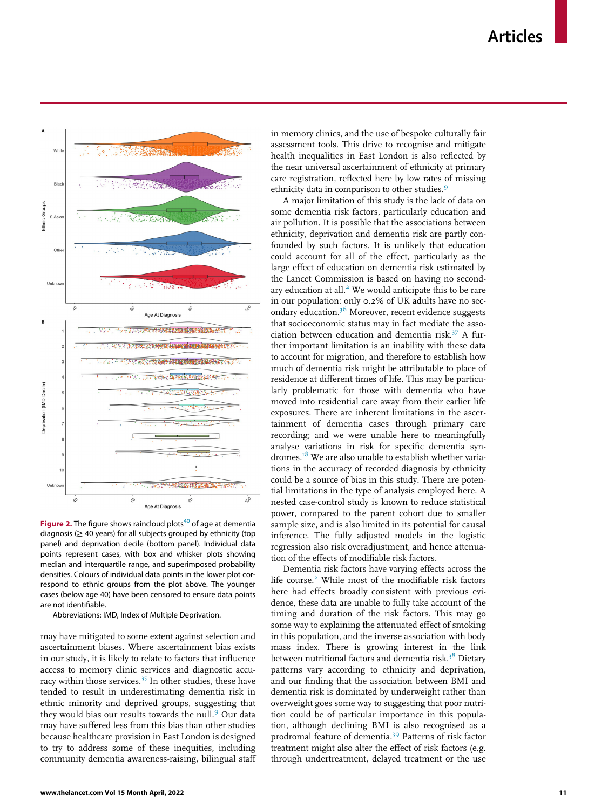<span id="page-10-0"></span>

Figure 2. The figure shows raincloud plots<sup>[40](#page-13-38)</sup> of age at dementia diagnosis ( $\geq$  40 years) for all subjects grouped by ethnicity (top panel) and deprivation decile (bottom panel). Individual data points represent cases, with box and whisker plots showing median and interquartile range, and superimposed probability densities. Colours of individual data points in the lower plot correspond to ethnic groups from the plot above. The younger cases (below age 40) have been censored to ensure data points are not identifiable.

Abbreviations: IMD, Index of Multiple Deprivation.

may have mitigated to some extent against selection and ascertainment biases. Where ascertainment bias exists in our study, it is likely to relate to factors that influence access to memory clinic services and diagnostic accuracy within those services. $35$  In other studies, these have tended to result in underestimating dementia risk in ethnic minority and deprived groups, suggesting that they would bias our results towards the null.<sup>[9](#page-13-9)</sup> Our data may have suffered less from this bias than other studies because healthcare provision in East London is designed to try to address some of these inequities, including community dementia awareness-raising, bilingual staff

in memory clinics, and the use of bespoke culturally fair assessment tools. This drive to recognise and mitigate health inequalities in East London is also reflected by the near universal ascertainment of ethnicity at primary care registration, reflected here by low rates of missing ethnicity data in comparison to other studies.<sup>[9](#page-13-9)</sup>

A major limitation of this study is the lack of data on some dementia risk factors, particularly education and air pollution. It is possible that the associations between ethnicity, deprivation and dementia risk are partly confounded by such factors. It is unlikely that education could account for all of the effect, particularly as the large effect of education on dementia risk estimated by the Lancet Commission is based on having no second-ary education at all.<sup>[2](#page-13-1)</sup> We would anticipate this to be rare in our population: only 0.2% of UK adults have no secondary education.[36](#page-13-34) Moreover, recent evidence suggests that socioeconomic status may in fact mediate the association between education and dementia risk. $37$  A further important limitation is an inability with these data to account for migration, and therefore to establish how much of dementia risk might be attributable to place of residence at different times of life. This may be particularly problematic for those with dementia who have moved into residential care away from their earlier life exposures. There are inherent limitations in the ascertainment of dementia cases through primary care recording; and we were unable here to meaningfully analyse variations in risk for specific dementia syndromes.<sup>18</sup> We are also unable to establish whether variations in the accuracy of recorded diagnosis by ethnicity could be a source of bias in this study. There are potential limitations in the type of analysis employed here. A nested case-control study is known to reduce statistical power, compared to the parent cohort due to smaller sample size, and is also limited in its potential for causal inference. The fully adjusted models in the logistic regression also risk overadjustment, and hence attenuation of the effects of modifiable risk factors.

Dementia risk factors have varying effects across the life course.<sup>[2](#page-13-1)</sup> While most of the modifiable risk factors here had effects broadly consistent with previous evidence, these data are unable to fully take account of the timing and duration of the risk factors. This may go some way to explaining the attenuated effect of smoking in this population, and the inverse association with body mass index. There is growing interest in the link between nutritional factors and dementia risk.<sup>[38](#page-13-36)</sup> Dietary patterns vary according to ethnicity and deprivation, and our finding that the association between BMI and dementia risk is dominated by underweight rather than overweight goes some way to suggesting that poor nutrition could be of particular importance in this population, although declining BMI is also recognised as a prodromal feature of dementia[.39](#page-13-37) Patterns of risk factor treatment might also alter the effect of risk factors (e.g. through undertreatment, delayed treatment or the use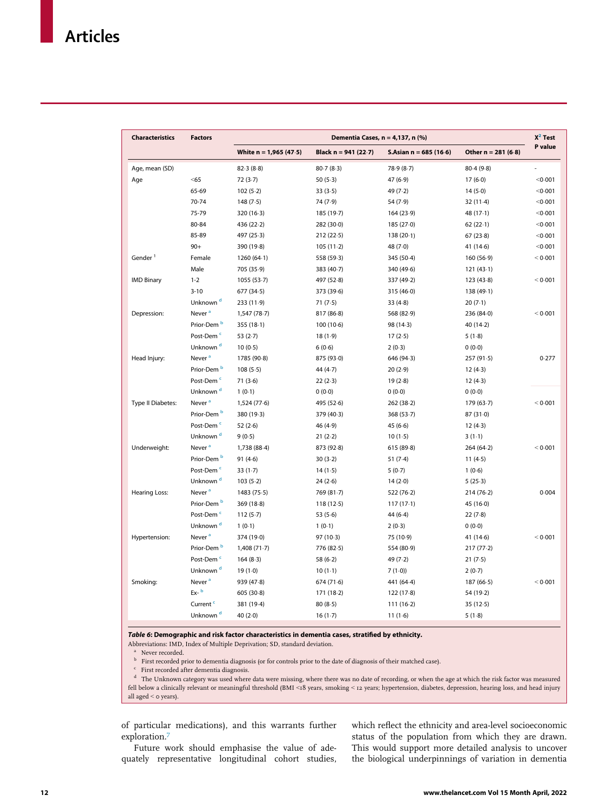## <span id="page-11-0"></span>Articles

| <b>Characteristics</b> | <b>Factors</b>         |                         | Dementia Cases, $n = 4,137$ , n $(\%)$ |                         |                       | $X^2$ Test |
|------------------------|------------------------|-------------------------|----------------------------------------|-------------------------|-----------------------|------------|
|                        |                        | White $n = 1,965(47.5)$ | Black $n = 941 (22.7)$                 | S.Asian $n = 685(16.6)$ | Other $n = 281 (6.8)$ | P value    |
| Age, mean (SD)         |                        | 82.3(8.8)               | 80.7(8.3)                              | 78.9 (8.7)              | 80.4(9.8)             |            |
| Age                    | $<$ 65                 | 72(3.7)                 | 50(5.3)                                | 47 (6.9)                | 17(6.0)               | < 0.001    |
|                        | 65-69                  | 102(5.2)                | 33(3.5)                                | 49 $(7.2)$              | 14(5.0)               | < 0.001    |
|                        | 70-74                  | 148(7.5)                | 74 (7.9)                               | 54(7.9)                 | $32(11-4)$            | < 0.001    |
|                        | 75-79                  | 320 (16-3)              | 185 (19-7)                             | 164(23.9)               | 48 $(17.1)$           | < 0.001    |
|                        | 80-84                  | 436(22.2)               | 282 (30.0)                             | 185(27.0)               | 62(22.1)              | < 0.001    |
|                        | 85-89                  | 497 (25.3)              | 212(22.5)                              | 138(20.1)               | 67(23.8)              | < 0.001    |
|                        | $90+$                  | 390 (19-8)              | $105(11-2)$                            | 48 $(7.0)$              | 41(14.6)              | < 0.001    |
| Gender <sup>1</sup>    | Female                 | 1260(64.1)              | 558 (59.3)                             | 345 (50-4)              | 160 (56.9)            | < 0.001    |
|                        | Male                   | 705 (35.9)              | 383 (40.7)                             | 340 (49.6)              | 121(43.1)             |            |
| <b>IMD Binary</b>      | $1 - 2$                | 1055(53.7)              | 497 (52.8)                             | 337 (49.2)              | 123(43.8)             | < 0.001    |
|                        | $3 - 10$               | 677 (34.5)              | 373 (39.6)                             | 315(46.0)               | 138 (49-1)            |            |
|                        | Unknown <sup>d</sup>   | 233 (11-9)              | 71(7.5)                                | 33(4.8)                 | 20(7.1)               |            |
| Depression:            | Never <sup>a</sup>     | 1,547(78.7)             | 817 (86.8)                             | 568 (82.9)              | 236 (84.0)            | < 0.001    |
|                        | Prior-Dem <sup>b</sup> | 355(18.1)               | 100(10.6)                              | 98 (14-3)               | 40 (14-2)             |            |
|                        | Post-Dem <sup>c</sup>  | 53(2.7)                 | 18(1.9)                                | 17(2.5)                 | 5(1.8)                |            |
|                        | Unknown <sup>d</sup>   | 10(0.5)                 | 6(0.6)                                 | 2(0.3)                  | 0(0.0)                |            |
| Head Injury:           | Never <sup>a</sup>     | 1785 (90.8)             | 875 (93.0)                             | 646 (94.3)              | 257(91.5)             | 0.277      |
|                        | Prior-Dem <sup>b</sup> | 108(5.5)                | 44(4.7)                                | 20(2.9)                 | 12(4.3)               |            |
|                        | Post-Dem <sup>c</sup>  | 71(3.6)                 | 22(2.3)                                | 19(2.8)                 | 12(4.3)               |            |
|                        | Unknown <sup>d</sup>   | 1(0.1)                  | 0(0.0)                                 | 0(0.0)                  | 0(0.0)                |            |
| Type II Diabetes:      | Never <sup>a</sup>     | 1,524(77.6)             | 495 (52.6)                             | 262(38.2)               | 179(63.7)             | < 0.001    |
|                        | Prior-Dem <sup>b</sup> | 380 (19-3)              | 379 (40.3)                             | 368(53.7)               | 87(31.0)              |            |
|                        | Post-Dem <sup>c</sup>  | 52 $(2.6)$              | 46 (4.9)                               | 45(6.6)                 | 12(4.3)               |            |
|                        | Unknown <sup>d</sup>   | 9(0.5)                  | 21(2.2)                                | 10(1.5)                 | $3(1-1)$              |            |
| Underweight:           | Never <sup>a</sup>     | 1,738 (88-4)            | 873 (92.8)                             | 615 (89-8)              | 264(64.2)             | < 0.001    |
|                        | Prior-Dem <sup>b</sup> | 91(4.6)                 | 30(3.2)                                | 51(7.4)                 | 11(4.5)               |            |
|                        | Post-Dem <sup>c</sup>  | 33(1.7)                 | 14(1.5)                                | 5(0.7)                  | 1(0.6)                |            |
|                        | Unknown <sup>d</sup>   | 103(5.2)                | 24(2.6)                                | 14(2.0)                 | 5(25.3)               |            |
| Hearing Loss:          | Never <sup>a</sup>     | 1483(75.5)              | 769 (81.7)                             | 522(76.2)               | 214(76.2)             | 0.004      |
|                        | Prior-Dem <sup>b</sup> | 369 (18-8)              | 118(12.5)                              | 117(17.1)               | 45 $(16.0)$           |            |
|                        | Post-Dem <sup>c</sup>  | 112(5.7)                | 53 $(5.6)$                             | 44(6.4)                 | 22(7.8)               |            |
|                        | Unknown <sup>d</sup>   | 1(0.1)                  | 1(0.1)                                 | 2(0.3)                  | 0(0.0)                |            |
| Hypertension:          | Never <sup>a</sup>     | 374 (19.0)              | 97(10.3)                               | 75 (10.9)               | 41 $(14.6)$           | < 0.001    |
|                        | Prior-Dem <sup>b</sup> | 1,408(71.7)             | 776 (82.5)                             | 554 (80.9)              | 217(77.2)             |            |
|                        | Post-Dem <sup>c</sup>  | 164(8.3)                | 58(6.2)                                | 49(7.2)                 | 21(7.5)               |            |
|                        | Unknown <sup>d</sup>   | $19(1-0)$               | $10(1-1)$                              | 7(1.0)                  | 2(0.7)                |            |
| Smoking:               | Never <sup>a</sup>     | 939 (47.8)              | 674(71.6)                              | 441 (64-4)              | 187(66.5)             | < 0.001    |
|                        | $Ex-$ b                | 605 (30.8)              | 171(18.2)                              | 122(17.8)               | 54 (19-2)             |            |
|                        | Current <sup>c</sup>   | 381 (19-4)              | 80(8.5)                                | 111(16.2)               | 35(12.5)              |            |
|                        | Unknown <sup>d</sup>   | 40 $(2.0)$              | $16(1-7)$                              | 11(1.6)                 | 5(1.8)                |            |
|                        |                        |                         |                                        |                         |                       |            |

Table 6: Demographic and risk factor characteristics in dementia cases, stratified by ethnicity.

<span id="page-11-2"></span>Abbreviations: IMD, Index of Multiple Deprivation; SD, standard deviation.

<sup>a</sup> Never recorded.

 $^{\rm b}~$  First recorded prior to dementia diagnosis (or for controls prior to the date of diagnosis of their matched case).

 $\epsilon$  First recorded after dementia diagnosis.

<span id="page-11-3"></span><span id="page-11-1"></span><sup>d</sup> The Unknown category was used where data were missing, where there was no date of recording, or when the age at which the risk factor was measured fell below a clinically relevant or meaningful threshold (BMI <18 years, smoking < 12 years; hypertension, diabetes, depression, hearing loss, and head injury all aged  $\leq$  o years).

of particular medications), and this warrants further exploration.[7](#page-13-6)

Future work should emphasise the value of adequately representative longitudinal cohort studies, which reflect the ethnicity and area-level socioeconomic status of the population from which they are drawn. This would support more detailed analysis to uncover the biological underpinnings of variation in dementia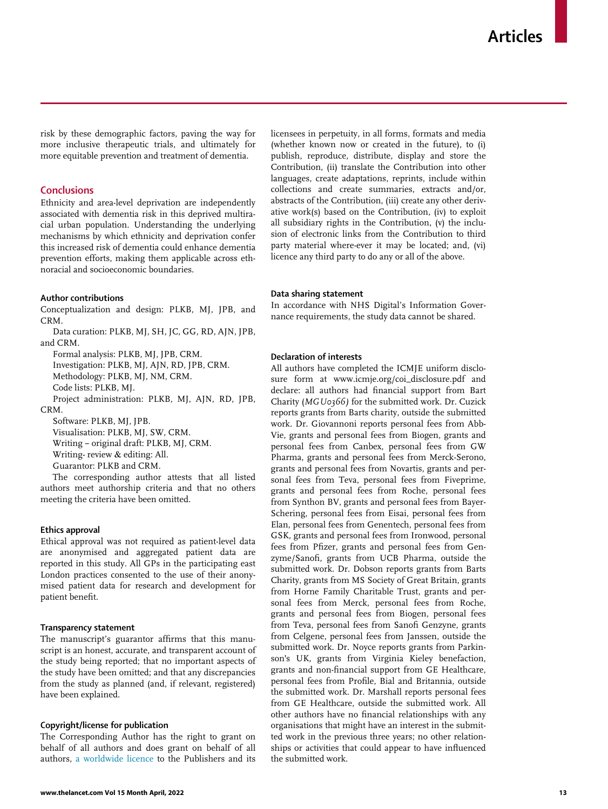risk by these demographic factors, paving the way for more inclusive therapeutic trials, and ultimately for more equitable prevention and treatment of dementia.

## **Conclusions**

Ethnicity and area-level deprivation are independently associated with dementia risk in this deprived multiracial urban population. Understanding the underlying mechanisms by which ethnicity and deprivation confer this increased risk of dementia could enhance dementia prevention efforts, making them applicable across ethnoracial and socioeconomic boundaries.

#### Author contributions

Conceptualization and design: PLKB, MJ, JPB, and CRM.

Data curation: PLKB, MJ, SH, JC, GG, RD, AJN, JPB, and CRM.

Formal analysis: PLKB, MJ, JPB, CRM. Investigation: PLKB, MJ, AJN, RD, JPB, CRM. Methodology: PLKB, MJ, NM, CRM. Code lists: PLKB, MJ.

Project administration: PLKB, MJ, AJN, RD, JPB, CRM.

Software: PLKB, MJ, JPB.

Visualisation: PLKB, MJ, SW, CRM. Writing – original draft: PLKB, MJ, CRM.

Writing- review & editing: All.

Guarantor: PLKB and CRM.

The corresponding author attests that all listed authors meet authorship criteria and that no others meeting the criteria have been omitted.

#### Ethics approval

Ethical approval was not required as patient-level data are anonymised and aggregated patient data are reported in this study. All GPs in the participating east London practices consented to the use of their anonymised patient data for research and development for patient benefit.

#### Transparency statement

The manuscript's guarantor affirms that this manuscript is an honest, accurate, and transparent account of the study being reported; that no important aspects of the study have been omitted; and that any discrepancies from the study as planned (and, if relevant, registered) have been explained.

## Copyright/license for publication

The Corresponding Author has the right to grant on behalf of all authors and does grant on behalf of all authors, [a worldwide licence](http://www.bmj.com/sites/default/files/BMJ%20Author%20Licence%20March%202013.doc) to the Publishers and its licensees in perpetuity, in all forms, formats and media (whether known now or created in the future), to (i) publish, reproduce, distribute, display and store the Contribution, (ii) translate the Contribution into other languages, create adaptations, reprints, include within collections and create summaries, extracts and/or, abstracts of the Contribution, (iii) create any other derivative work(s) based on the Contribution, (iv) to exploit all subsidiary rights in the Contribution, (v) the inclusion of electronic links from the Contribution to third party material where-ever it may be located; and, (vi) licence any third party to do any or all of the above.

## Data sharing statement

In accordance with NHS Digital's Information Governance requirements, the study data cannot be shared.

#### Declaration of interests

All authors have completed the ICMJE uniform disclosure form at www.icmje.org/coi\_disclosure.pdf and declare: all authors had financial support from Bart Charity (MGU0366) for the submitted work. Dr. Cuzick reports grants from Barts charity, outside the submitted work. Dr. Giovannoni reports personal fees from Abb-Vie, grants and personal fees from Biogen, grants and personal fees from Canbex, personal fees from GW Pharma, grants and personal fees from Merck-Serono, grants and personal fees from Novartis, grants and personal fees from Teva, personal fees from Fiveprime, grants and personal fees from Roche, personal fees from Synthon BV, grants and personal fees from Bayer-Schering, personal fees from Eisai, personal fees from Elan, personal fees from Genentech, personal fees from GSK, grants and personal fees from Ironwood, personal fees from Pfizer, grants and personal fees from Genzyme/Sanofi, grants from UCB Pharma, outside the submitted work. Dr. Dobson reports grants from Barts Charity, grants from MS Society of Great Britain, grants from Horne Family Charitable Trust, grants and personal fees from Merck, personal fees from Roche, grants and personal fees from Biogen, personal fees from Teva, personal fees from Sanofi Genzyne, grants from Celgene, personal fees from Janssen, outside the submitted work. Dr. Noyce reports grants from Parkinson's UK, grants from Virginia Kieley benefaction, grants and non-financial support from GE Healthcare, personal fees from Profile, Bial and Britannia, outside the submitted work. Dr. Marshall reports personal fees from GE Healthcare, outside the submitted work. All other authors have no financial relationships with any organisations that might have an interest in the submitted work in the previous three years; no other relationships or activities that could appear to have influenced the submitted work.